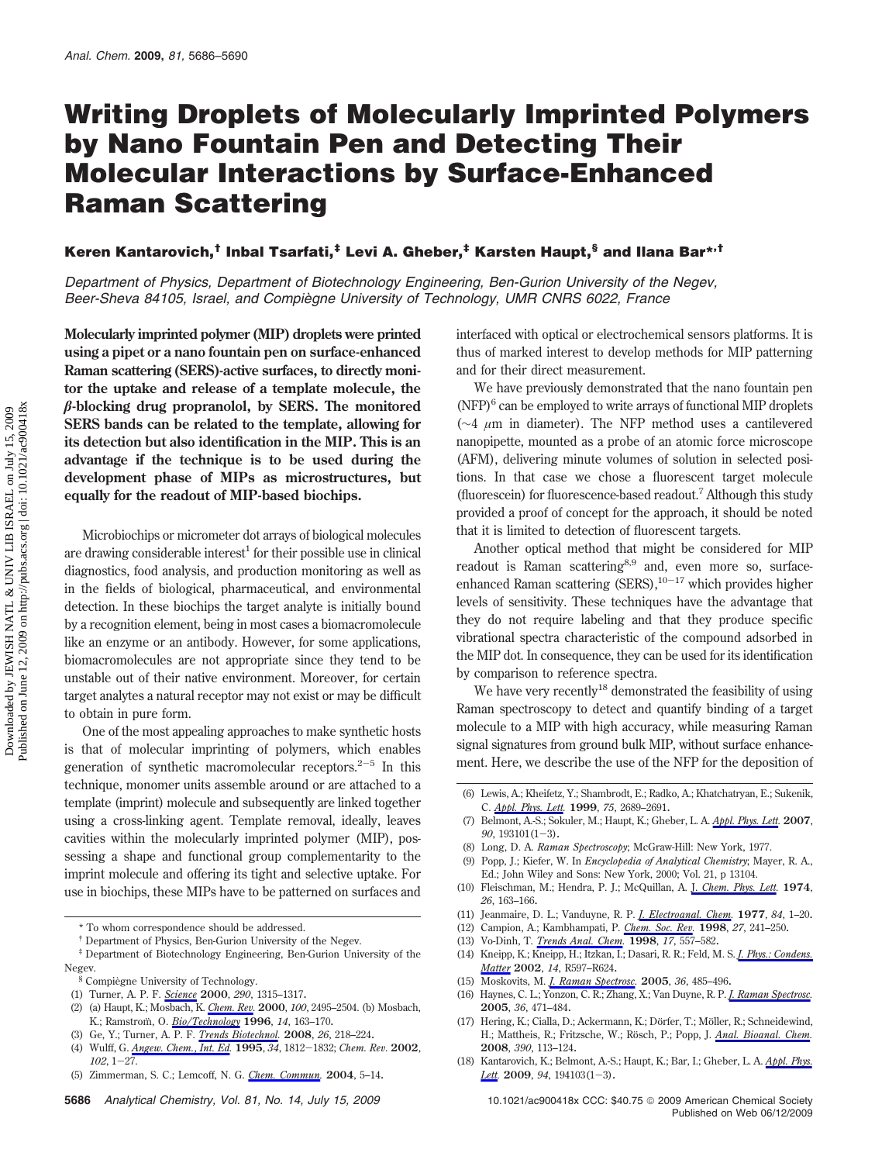# **Writing Droplets of Molecularly Imprinted Polymers by Nano Fountain Pen and Detecting Their Molecular Interactions by Surface-Enhanced Raman Scattering**

## **Keren Kantarovich,† Inbal Tsarfati,‡ Levi A. Gheber,‡ Karsten Haupt,§ and Ilana Bar\*,†**

*Department of Physics, Department of Biotechnology Engineering, Ben-Gurion University of the Negev,* Beer-Sheva 84105, Israel, and Compiègne University of Technology, UMR CNRS 6022, France

**Molecularly imprinted polymer (MIP) droplets were printed using a pipet or a nano fountain pen on surface-enhanced Raman scattering (SERS)-active surfaces, to directly monitor the uptake and release of a template molecule, the -blocking drug propranolol, by SERS. The monitored SERS bands can be related to the template, allowing for its detection but also identification in the MIP. This is an advantage if the technique is to be used during the development phase of MIPs as microstructures, but equally for the readout of MIP-based biochips.**

Microbiochips or micrometer dot arrays of biological molecules are drawing considerable interest<sup>1</sup> for their possible use in clinical diagnostics, food analysis, and production monitoring as well as in the fields of biological, pharmaceutical, and environmental detection. In these biochips the target analyte is initially bound by a recognition element, being in most cases a biomacromolecule like an enzyme or an antibody. However, for some applications, biomacromolecules are not appropriate since they tend to be unstable out of their native environment. Moreover, for certain target analytes a natural receptor may not exist or may be difficult to obtain in pure form.

One of the most appealing approaches to make synthetic hosts is that of molecular imprinting of polymers, which enables generation of synthetic macromolecular receptors.<sup>2-5</sup> In this technique, monomer units assemble around or are attached to a template (imprint) molecule and subsequently are linked together using a cross-linking agent. Template removal, ideally, leaves cavities within the molecularly imprinted polymer (MIP), possessing a shape and functional group complementarity to the imprint molecule and offering its tight and selective uptake. For use in biochips, these MIPs have to be patterned on surfaces and

(3) Ge, Y.; Turner, A. P. F. *Trends Biotechnol.* **2008**, *26*, 218–224.

interfaced with optical or electrochemical sensors platforms. It is thus of marked interest to develop methods for MIP patterning and for their direct measurement.

We have previously demonstrated that the nano fountain pen  $(NFP)^6$  can be employed to write arrays of functional MIP droplets (∼4 *µ*m in diameter). The NFP method uses a cantilevered nanopipette, mounted as a probe of an atomic force microscope (AFM), delivering minute volumes of solution in selected positions. In that case we chose a fluorescent target molecule (fluorescein) for fluorescence-based readout.7 Although this study provided a proof of concept for the approach, it should be noted that it is limited to detection of fluorescent targets.

Another optical method that might be considered for MIP readout is Raman scattering<sup>8,9</sup> and, even more so, surfaceenhanced Raman scattering (SERS), $10-17$  which provides higher levels of sensitivity. These techniques have the advantage that they do not require labeling and that they produce specific vibrational spectra characteristic of the compound adsorbed in the MIP dot. In consequence, they can be used for its identification by comparison to reference spectra.

We have very recently<sup>18</sup> demonstrated the feasibility of using Raman spectroscopy to detect and quantify binding of a target molecule to a MIP with high accuracy, while measuring Raman signal signatures from ground bulk MIP, without surface enhancement. Here, we describe the use of the NFP for the deposition of

- (12) Campion, A.; Kambhampati, P. *Chem. Soc. Rev.* **1998**, *27*, 241–250.
- (13) Vo-Dinh, T. *Trends Anal. Chem.* **1998**, *17*, 557–582.
- (14) Kneipp, K.; Kneipp, H.; Itzkan, I.; Dasari, R. R.; Feld, M. S. *J. Phys.: Condens. Matter* **2002**, *14*, R597–R624.
- (15) Moskovits, M. *J. Raman Spectrosc.* **2005**, *36*, 485–496.
- (16) Haynes, C. L.; Yonzon, C. R.; Zhang, X.; Van Duyne, R. P. *J. Raman Spectrosc.* **2005**, *36*, 471–484.
- (17) Hering, K.; Cialla, D.; Ackermann, K.; Dörfer, T.; Möller, R.; Schneidewind, H.; Mattheis, R.; Fritzsche, W.; Rösch, P.; Popp, J. *Anal. Bioanal. Chem.* **2008**, *390*, 113–124.
- (18) Kantarovich, K.; Belmont, A.-S.; Haupt, K.; Bar, I.; Gheber, L. A. *Appl. Phys. Lett.* **<sup>2009</sup>**, *<sup>94</sup>*, 194103(1-3).

<sup>\*</sup> To whom correspondence should be addressed.

<sup>†</sup> Department of Physics, Ben-Gurion University of the Negev.

<sup>‡</sup> Department of Biotechnology Engineering, Ben-Gurion University of the Negev.

<sup>§</sup> Compiègne University of Technology.

<sup>(1)</sup> Turner, A. P. F. *Science* **2000**, *290*, 1315–1317.

<sup>(2) (</sup>a) Haupt, K.; Mosbach, K. *Chem. Rev.* **2000**, *100*, 2495–2504. (b) Mosbach, K.; Ramstrom¨ , O. *Bio/Technology* **1996**, *14*, 163–170.

<sup>(4)</sup> Wulff, G. *Angew. Chem., Int. Ed.* **<sup>1995</sup>**, *<sup>34</sup>*, 1812-1832; *Chem. Rev.* **<sup>2002</sup>**, *<sup>102</sup>*, 1-27.

<sup>(5)</sup> Zimmerman, S. C.; Lemcoff, N. G. *Chem. Commun.* **2004**, 5–14.

**<sup>5686</sup>** *Analytical Chemistry, Vol. 81, No. 14, July 15, 2009* 10.1021/ac900418x CCC: \$40.75 2009 American Chemical Society

<sup>(6)</sup> Lewis, A.; Kheifetz, Y.; Shambrodt, E.; Radko, A.; Khatchatryan, E.; Sukenik, C. *Appl. Phys. Lett.* **1999**, *75*, 2689–2691.

<sup>(7)</sup> Belmont, A.-S.; Sokuler, M.; Haupt, K.; Gheber, L. A. *Appl. Phys. Lett.* **2007**, *<sup>90</sup>*, 193101(1-3). (8) Long, D. A. *Raman Spectroscopy*; McGraw-Hill: New York, 1977.

<sup>(9)</sup> Popp, J.; Kiefer, W. In *Encyclopedia of Analytical Chemistry*; Mayer, R. A., Ed.; John Wiley and Sons: New York, 2000; Vol. 21, p 13104.

<sup>(10)</sup> Fleischman, M.; Hendra, P. J.; McQuillan, A. J. *Chem. Phys. Lett.* **1974**, *26*, 163–166.

<sup>(11)</sup> Jeanmaire, D. L.; Vanduyne, R. P. *J. Electroanal. Chem.* **1977**, *84*, 1–20.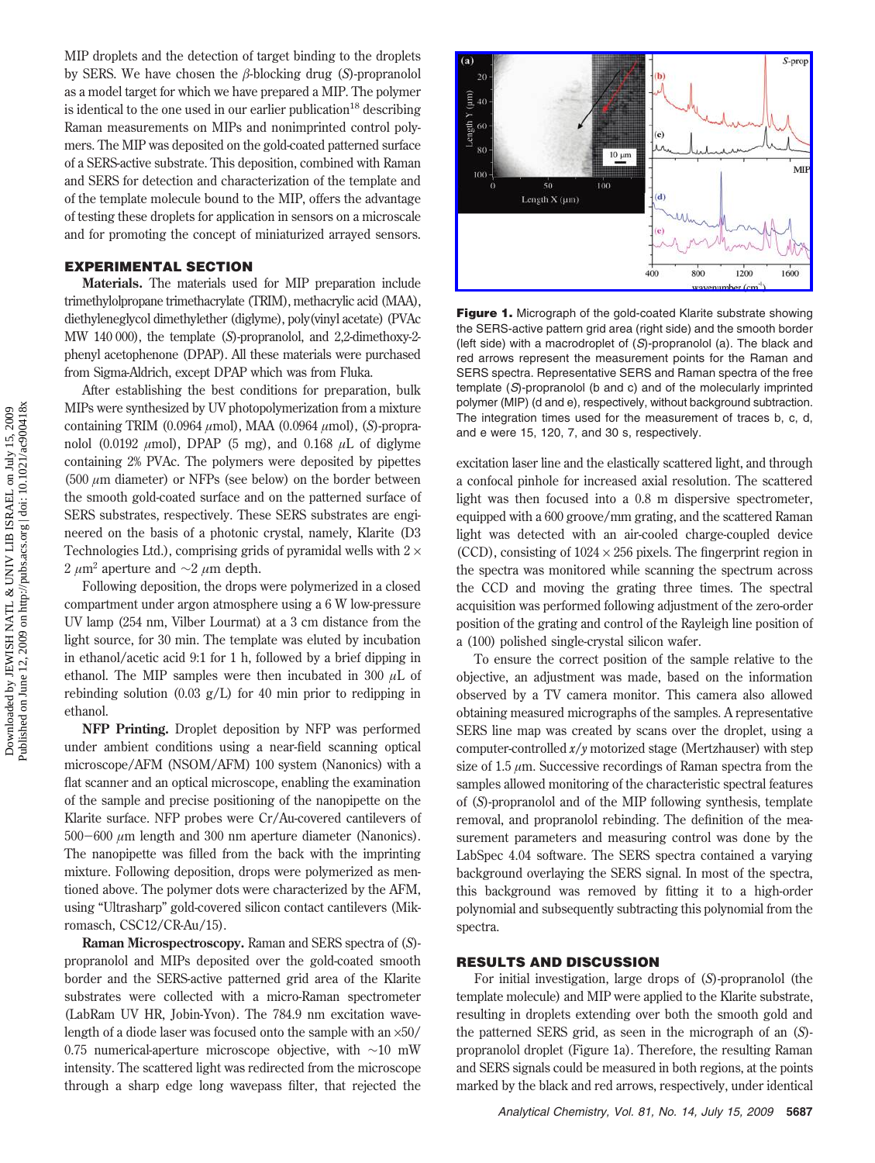MIP droplets and the detection of target binding to the droplets by SERS. We have chosen the  $\beta$ -blocking drug (S)-propranolol as a model target for which we have prepared a MIP. The polymer is identical to the one used in our earlier publication<sup>18</sup> describing Raman measurements on MIPs and nonimprinted control polymers. The MIP was deposited on the gold-coated patterned surface of a SERS-active substrate. This deposition, combined with Raman and SERS for detection and characterization of the template and of the template molecule bound to the MIP, offers the advantage of testing these droplets for application in sensors on a microscale and for promoting the concept of miniaturized arrayed sensors.

#### **EXPERIMENTAL SECTION**

**Materials.** The materials used for MIP preparation include trimethylolpropane trimethacrylate (TRIM), methacrylic acid (MAA), diethyleneglycol dimethylether (diglyme), poly(vinyl acetate) (PVAc MW 140 000), the template (*S*)-propranolol, and 2,2-dimethoxy-2 phenyl acetophenone (DPAP). All these materials were purchased from Sigma-Aldrich, except DPAP which was from Fluka.

After establishing the best conditions for preparation, bulk MIPs were synthesized by UV photopolymerization from a mixture containing TRIM (0.0964 *µ*mol), MAA (0.0964 *µ*mol), (*S*)-propranolol (0.0192 *µ*mol), DPAP (5 mg), and 0.168 *µ*L of diglyme containing 2% PVAc. The polymers were deposited by pipettes (500 *µ*m diameter) or NFPs (see below) on the border between the smooth gold-coated surface and on the patterned surface of SERS substrates, respectively. These SERS substrates are engineered on the basis of a photonic crystal, namely, Klarite (D3 Technologies Ltd.), comprising grids of pyramidal wells with  $2 \times$ <sup>2</sup> *<sup>µ</sup>*m<sup>2</sup> aperture and ∼2 *µ*m depth.

Following deposition, the drops were polymerized in a closed compartment under argon atmosphere using a 6 W low-pressure UV lamp (254 nm, Vilber Lourmat) at a 3 cm distance from the light source, for 30 min. The template was eluted by incubation in ethanol/acetic acid 9:1 for 1 h, followed by a brief dipping in ethanol. The MIP samples were then incubated in 300  $\mu$ L of rebinding solution (0.03 g/L) for 40 min prior to redipping in ethanol.

**NFP Printing.** Droplet deposition by NFP was performed under ambient conditions using a near-field scanning optical microscope/AFM (NSOM/AFM) 100 system (Nanonics) with a flat scanner and an optical microscope, enabling the examination of the sample and precise positioning of the nanopipette on the Klarite surface. NFP probes were Cr/Au-covered cantilevers of <sup>500</sup>-<sup>600</sup> *<sup>µ</sup>*m length and 300 nm aperture diameter (Nanonics). The nanopipette was filled from the back with the imprinting mixture. Following deposition, drops were polymerized as mentioned above. The polymer dots were characterized by the AFM, using "Ultrasharp" gold-covered silicon contact cantilevers (Mikromasch, CSC12/CR-Au/15).

**Raman Microspectroscopy.** Raman and SERS spectra of (*S*) propranolol and MIPs deposited over the gold-coated smooth border and the SERS-active patterned grid area of the Klarite substrates were collected with a micro-Raman spectrometer (LabRam UV HR, Jobin-Yvon). The 784.9 nm excitation wavelength of a diode laser was focused onto the sample with an ×50/ 0.75 numerical-aperture microscope objective, with ∼10 mW intensity. The scattered light was redirected from the microscope through a sharp edge long wavepass filter, that rejected the



**Figure 1.** Micrograph of the gold-coated Klarite substrate showing the SERS-active pattern grid area (right side) and the smooth border (left side) with a macrodroplet of (*S*)-propranolol (a). The black and red arrows represent the measurement points for the Raman and SERS spectra. Representative SERS and Raman spectra of the free template (*S*)-propranolol (b and c) and of the molecularly imprinted polymer (MIP) (d and e), respectively, without background subtraction. The integration times used for the measurement of traces b, c, d, and e were 15, 120, 7, and 30 s, respectively.

excitation laser line and the elastically scattered light, and through a confocal pinhole for increased axial resolution. The scattered light was then focused into a 0.8 m dispersive spectrometer, equipped with a 600 groove/mm grating, and the scattered Raman light was detected with an air-cooled charge-coupled device (CCD), consisting of  $1024 \times 256$  pixels. The fingerprint region in the spectra was monitored while scanning the spectrum across the CCD and moving the grating three times. The spectral acquisition was performed following adjustment of the zero-order position of the grating and control of the Rayleigh line position of a (100) polished single-crystal silicon wafer.

To ensure the correct position of the sample relative to the objective, an adjustment was made, based on the information observed by a TV camera monitor. This camera also allowed obtaining measured micrographs of the samples. A representative SERS line map was created by scans over the droplet, using a computer-controlled *x*/*y* motorized stage (Mertzhauser) with step size of 1.5 *µ*m. Successive recordings of Raman spectra from the samples allowed monitoring of the characteristic spectral features of (*S*)-propranolol and of the MIP following synthesis, template removal, and propranolol rebinding. The definition of the measurement parameters and measuring control was done by the LabSpec 4.04 software. The SERS spectra contained a varying background overlaying the SERS signal. In most of the spectra, this background was removed by fitting it to a high-order polynomial and subsequently subtracting this polynomial from the spectra.

### **RESULTS AND DISCUSSION**

For initial investigation, large drops of (*S*)-propranolol (the template molecule) and MIP were applied to the Klarite substrate, resulting in droplets extending over both the smooth gold and the patterned SERS grid, as seen in the micrograph of an (*S*) propranolol droplet (Figure 1a). Therefore, the resulting Raman and SERS signals could be measured in both regions, at the points marked by the black and red arrows, respectively, under identical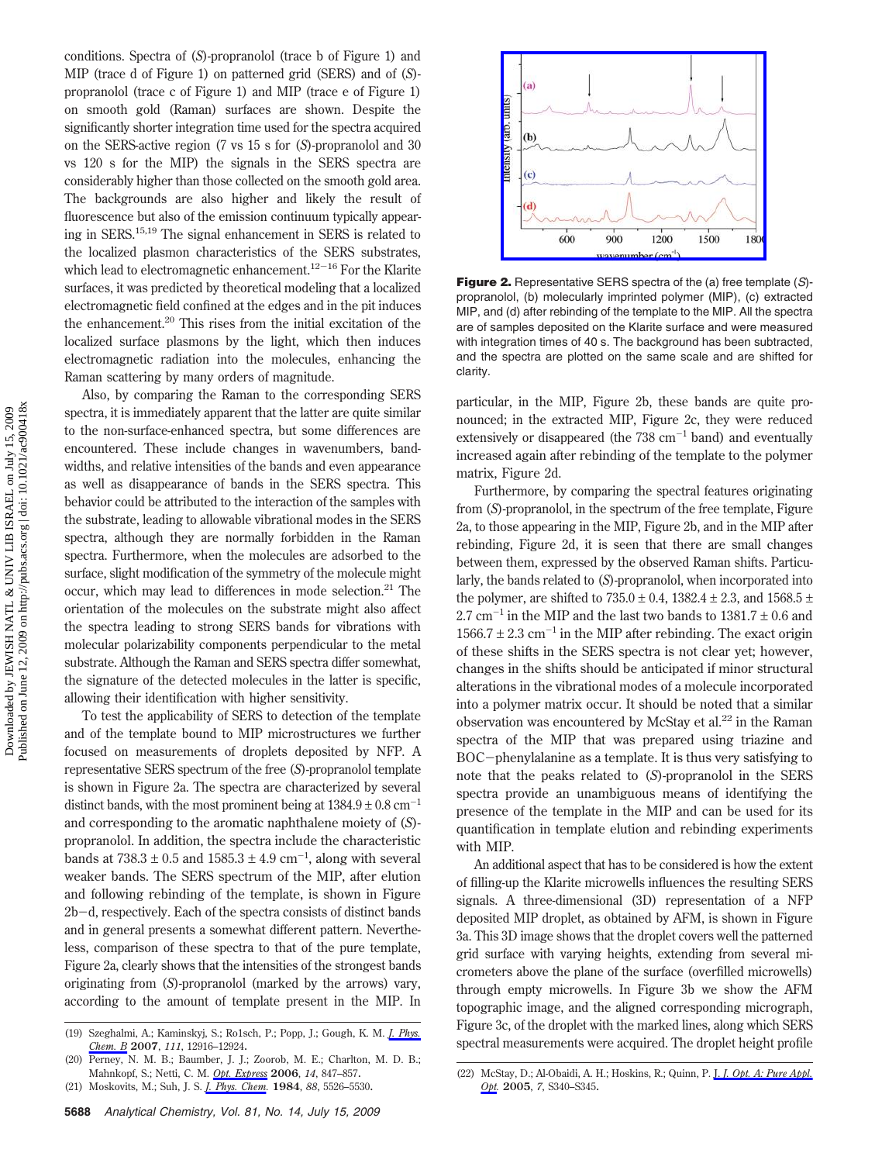conditions. Spectra of (*S*)-propranolol (trace b of Figure 1) and MIP (trace d of Figure 1) on patterned grid (SERS) and of (*S*) propranolol (trace c of Figure 1) and MIP (trace e of Figure 1) on smooth gold (Raman) surfaces are shown. Despite the significantly shorter integration time used for the spectra acquired on the SERS-active region (7 vs 15 s for (*S*)-propranolol and 30 vs 120 s for the MIP) the signals in the SERS spectra are considerably higher than those collected on the smooth gold area. The backgrounds are also higher and likely the result of fluorescence but also of the emission continuum typically appearing in SERS.15,19 The signal enhancement in SERS is related to the localized plasmon characteristics of the SERS substrates, which lead to electromagnetic enhancement.<sup>12-16</sup> For the Klarite surfaces, it was predicted by theoretical modeling that a localized electromagnetic field confined at the edges and in the pit induces the enhancement.<sup>20</sup> This rises from the initial excitation of the localized surface plasmons by the light, which then induces electromagnetic radiation into the molecules, enhancing the Raman scattering by many orders of magnitude.

Also, by comparing the Raman to the corresponding SERS spectra, it is immediately apparent that the latter are quite similar to the non-surface-enhanced spectra, but some differences are encountered. These include changes in wavenumbers, bandwidths, and relative intensities of the bands and even appearance as well as disappearance of bands in the SERS spectra. This behavior could be attributed to the interaction of the samples with the substrate, leading to allowable vibrational modes in the SERS spectra, although they are normally forbidden in the Raman spectra. Furthermore, when the molecules are adsorbed to the surface, slight modification of the symmetry of the molecule might occur, which may lead to differences in mode selection.<sup>21</sup> The orientation of the molecules on the substrate might also affect the spectra leading to strong SERS bands for vibrations with molecular polarizability components perpendicular to the metal substrate. Although the Raman and SERS spectra differ somewhat, the signature of the detected molecules in the latter is specific, allowing their identification with higher sensitivity.

To test the applicability of SERS to detection of the template and of the template bound to MIP microstructures we further focused on measurements of droplets deposited by NFP. A representative SERS spectrum of the free (*S*)-propranolol template is shown in Figure 2a. The spectra are characterized by several distinct bands, with the most prominent being at  $1384.9 \pm 0.8$  cm<sup>-1</sup> and corresponding to the aromatic naphthalene moiety of (*S*) propranolol. In addition, the spectra include the characteristic bands at  $738.3 \pm 0.5$  and  $1585.3 \pm 4.9$  cm<sup>-1</sup>, along with several weaker bands. The SERS spectrum of the MIP, after elution and following rebinding of the template, is shown in Figure 2b-d, respectively. Each of the spectra consists of distinct bands and in general presents a somewhat different pattern. Nevertheless, comparison of these spectra to that of the pure template, Figure 2a, clearly shows that the intensities of the strongest bands originating from (*S*)-propranolol (marked by the arrows) vary, according to the amount of template present in the MIP. In



**Figure 2.** Representative SERS spectra of the (a) free template (*S*) propranolol, (b) molecularly imprinted polymer (MIP), (c) extracted MIP, and (d) after rebinding of the template to the MIP. All the spectra are of samples deposited on the Klarite surface and were measured with integration times of 40 s. The background has been subtracted, and the spectra are plotted on the same scale and are shifted for clarity.

particular, in the MIP, Figure 2b, these bands are quite pronounced; in the extracted MIP, Figure 2c, they were reduced extensively or disappeared (the  $738 \text{ cm}^{-1}$  band) and eventually increased again after rebinding of the template to the polymer matrix, Figure 2d.

Furthermore, by comparing the spectral features originating from (*S*)-propranolol, in the spectrum of the free template, Figure 2a, to those appearing in the MIP, Figure 2b, and in the MIP after rebinding, Figure 2d, it is seen that there are small changes between them, expressed by the observed Raman shifts. Particularly, the bands related to (*S*)-propranolol, when incorporated into the polymer, are shifted to  $735.0 \pm 0.4$ ,  $1382.4 \pm 2.3$ , and  $1568.5 \pm 1.5$ 2.7 cm<sup>-1</sup> in the MIP and the last two bands to  $1381.7 \pm 0.6$  and  $1566.7 \pm 2.3$  cm<sup>-1</sup> in the MIP after rebinding. The exact origin of these shifts in the SERS spectra is not clear yet; however, changes in the shifts should be anticipated if minor structural alterations in the vibrational modes of a molecule incorporated into a polymer matrix occur. It should be noted that a similar observation was encountered by McStay et al.<sup>22</sup> in the Raman spectra of the MIP that was prepared using triazine and BOC-phenylalanine as a template. It is thus very satisfying to note that the peaks related to (*S*)-propranolol in the SERS spectra provide an unambiguous means of identifying the presence of the template in the MIP and can be used for its quantification in template elution and rebinding experiments with MIP.

An additional aspect that has to be considered is how the extent of filling-up the Klarite microwells influences the resulting SERS signals. A three-dimensional (3D) representation of a NFP deposited MIP droplet, as obtained by AFM, is shown in Figure 3a. This 3D image shows that the droplet covers well the patterned grid surface with varying heights, extending from several micrometers above the plane of the surface (overfilled microwells) through empty microwells. In Figure 3b we show the AFM topographic image, and the aligned corresponding micrograph, Figure 3c, of the droplet with the marked lines, along which SERS spectral measurements were acquired. The droplet height profile (19) Szeghalmi, A.; Kaminskyj, S.; Ro1sch, P.; Popp, J.; Gough, K. M. *J. Phys.*

*Chem. B* **2007**, *111*, 12916–12924.

<sup>(20)</sup> Perney, N. M. B.; Baumber, J. J.; Zoorob, M. E.; Charlton, M. D. B.; Mahnkopf, S.; Netti, C. M. *Opt. Express* **2006**, *14*, 847–857.

<sup>(21)</sup> Moskovits, M.; Suh, J. S. *J. Phys. Chem.* **1984**, *88*, 5526–5530.

<sup>(22)</sup> McStay, D.; Al-Obaidi, A. H.; Hoskins, R.; Quinn, P. J. *J. Opt. A: Pure Appl. Opt.* **2005**, *7*, S340–S345.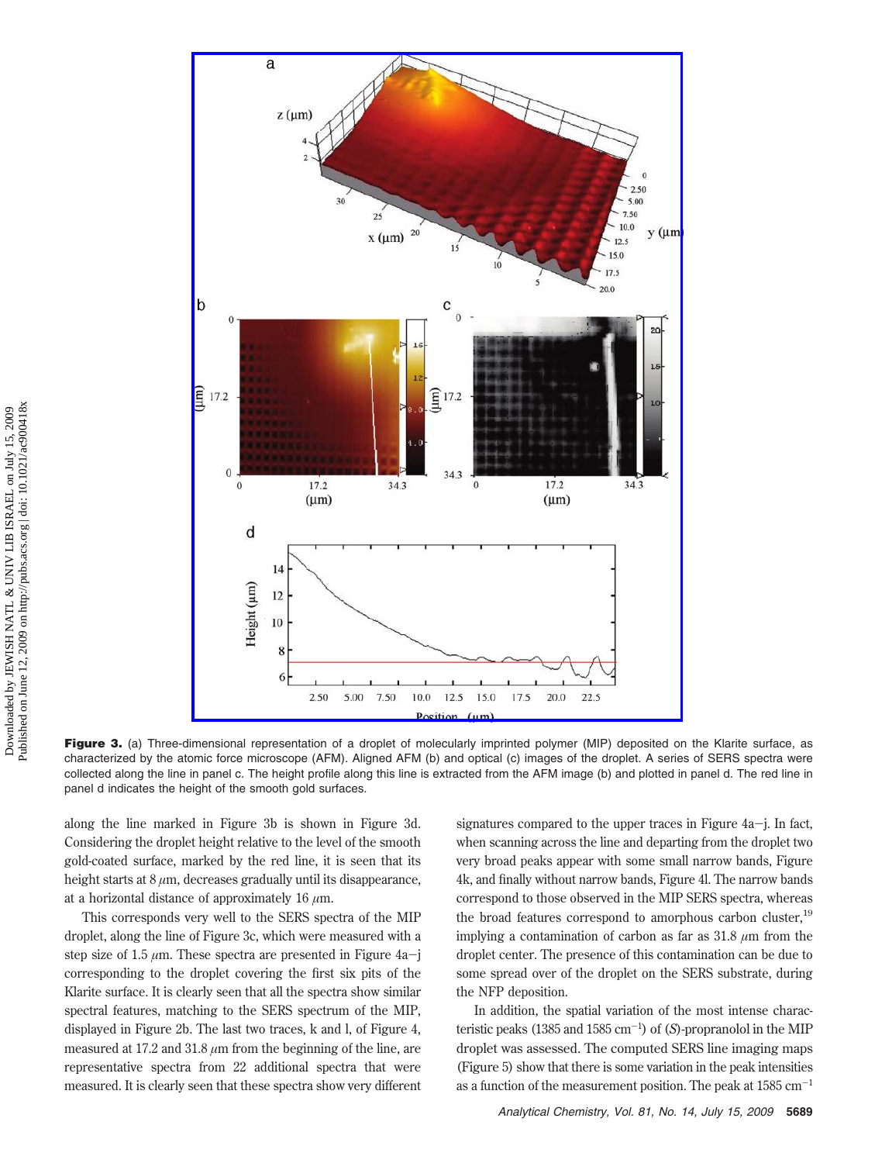

Figure 3. (a) Three-dimensional representation of a droplet of molecularly imprinted polymer (MIP) deposited on the Klarite surface, as characterized by the atomic force microscope (AFM). Aligned AFM (b) and optical (c) images of the droplet. A series of SERS spectra were collected along the line in panel c. The height profile along this line is extracted from the AFM image (b) and plotted in panel d. The red line in panel d indicates the height of the smooth gold surfaces.

along the line marked in Figure 3b is shown in Figure 3d. Considering the droplet height relative to the level of the smooth gold-coated surface, marked by the red line, it is seen that its height starts at  $8 \mu m$ , decreases gradually until its disappearance. at a horizontal distance of approximately 16 *µ*m.

This corresponds very well to the SERS spectra of the MIP droplet, along the line of Figure 3c, which were measured with a step size of 1.5 *<sup>µ</sup>*m. These spectra are presented in Figure 4a-<sup>j</sup> corresponding to the droplet covering the first six pits of the Klarite surface. It is clearly seen that all the spectra show similar spectral features, matching to the SERS spectrum of the MIP, displayed in Figure 2b. The last two traces, k and l, of Figure 4, measured at 17.2 and 31.8 *µ*m from the beginning of the line, are representative spectra from 22 additional spectra that were measured. It is clearly seen that these spectra show very different

signatures compared to the upper traces in Figure  $4a-i$ . In fact, when scanning across the line and departing from the droplet two very broad peaks appear with some small narrow bands, Figure 4k, and finally without narrow bands, Figure 4l. The narrow bands correspond to those observed in the MIP SERS spectra, whereas the broad features correspond to amorphous carbon cluster,<sup>19</sup> implying a contamination of carbon as far as 31.8 *µ*m from the droplet center. The presence of this contamination can be due to some spread over of the droplet on the SERS substrate, during the NFP deposition.

In addition, the spatial variation of the most intense characteristic peaks (1385 and 1585 cm-<sup>1</sup> ) of (*S*)-propranolol in the MIP droplet was assessed. The computed SERS line imaging maps (Figure 5) show that there is some variation in the peak intensities as a function of the measurement position. The peak at  $1585 \text{ cm}^{-1}$